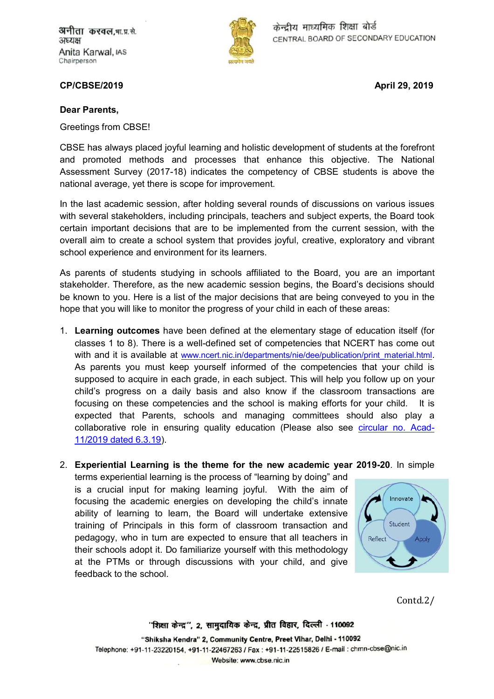अनीता करवल,भा.प्र.से. अध्यक्ष Anita Karwal, IAS Chairperson



केन्द्रीय माध्यमिक शिक्षा बोर्ड CENTRAL BOARD OF SECONDARY EDUCATION

**CP/CBSE/2019 April 29, 2019**

## **Dear Parents,**

Greetings from CBSE!

CBSE has always placed joyful learning and holistic development of students at the forefront and promoted methods and processes that enhance this objective. The National Assessment Survey (2017-18) indicates the competency of CBSE students is above the national average, yet there is scope for improvement.

In the last academic session, after holding several rounds of discussions on various issues with several stakeholders, including principals, teachers and subject experts, the Board took certain important decisions that are to be implemented from the current session, with the overall aim to create a school system that provides joyful, creative, exploratory and vibrant school experience and environment for its learners.

As parents of students studying in schools affiliated to the Board, you are an important stakeholder. Therefore, as the new academic session begins, the Board's decisions should be known to you. Here is a list of the major decisions that are being conveyed to you in the hope that you will like to monitor the progress of your child in each of these areas:

- 1. **Learning outcomes** have been defined at the elementary stage of education itself (for classes 1 to 8). There is a well-defined set of competencies that NCERT has come out with and it is available at [www.ncert.nic.in/departments/nie/dee/publication/print\\_material.html](http://www.ncert.nic.in/departments/nie/dee/publication/print_material.html). As parents you must keep yourself informed of the competencies that your child is supposed to acquire in each grade, in each subject. This will help you follow up on your child's progress on a daily basis and also know if the classroom transactions are focusing on these competencies and the school is making efforts for your child. It is expected that Parents, schools and managing committees should also play a collaborative role in ensuring quality education (Please also see [circular no. Acad-](http://cbseacademic.nic.in/web_material/Circulars/2019/11_Circular_2019.pdf)11/2019 dated 6.3.19).
- 2. **Experiential Learning is the theme for the new academic year 2019-20**. In simple

terms experiential learning is the process of "learning by doing" and is a crucial input for making learning joyful. With the aim of focusing the academic energies on developing the child's innate ability of learning to learn, the Board will undertake extensive training of Principals in this form of classroom transaction and pedagogy, who in turn are expected to ensure that all teachers in their schools adopt it. Do familiarize yourself with this methodology at the PTMs or through discussions with your child, and give feedback to the school.



Contd.2/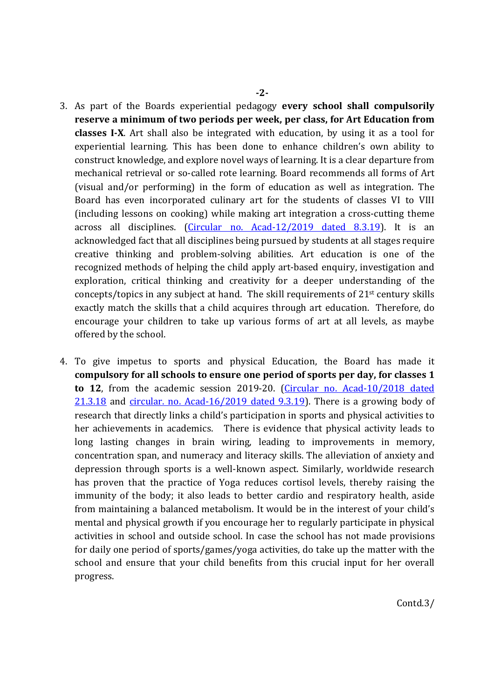- 3. As part of the Boards experiential pedagogy **every school shall compulsorily reserve a minimum of two periods per week, per class, for Art Education from classes I-X**. Art shall also be integrated with education, by using it as a tool for experiential learning. This has been done to enhance children's own ability to construct knowledge, and explore novel ways of learning. It is a clear departure from mechanical retrieval or so-called rote learning. Board recommends all forms of Art (visual and/or performing) in the form of education as well as integration. The Board has even incorporated culinary art for the students of classes VI to VIII (including lessons on cooking) while making art integration a cross-cutting theme across all disciplines. [\(Circular no. Acad-12/2019 dated 8.3.19\)](http://cbseacademic.nic.in/web_material/Circulars/2019/12_Circular_2019.pdf). It is an acknowledged fact that all disciplines being pursued by students at all stages require creative thinking and problem-solving abilities. Art education is one of the recognized methods of helping the child apply art-based enquiry, investigation and exploration, critical thinking and creativity for a deeper understanding of the concepts/topics in any subject at hand. The skill requirements of 21st century skills exactly match the skills that a child acquires through art education. Therefore, do encourage your children to take up various forms of art at all levels, as maybe offered by the school.
- 4. To give impetus to sports and physical Education, the Board has made it **compulsory for all schools to ensure one period of sports per day, for classes 1 to 12**, from the academic session 2019-20. ([Circular no. Acad-10/2018 dated](http://cbseacademic.nic.in/web_material/Circulars/2018/10_Circular_2018.pdf)  21.3.18 and [circular. no. Acad-16/2019 dated 9.3.19\)](http://cbseacademic.nic.in/web_material/Circulars/2019/16_Circular_2019.pdf). There is a growing body of research that directly links a child's participation in sports and physical activities to her achievements in academics. There is evidence that physical activity leads to long lasting changes in brain wiring, leading to improvements in memory, concentration span, and numeracy and literacy skills. The alleviation of anxiety and depression through sports is a well-known aspect. Similarly, worldwide research has proven that the practice of Yoga reduces cortisol levels, thereby raising the immunity of the body; it also leads to better cardio and respiratory health, aside from maintaining a balanced metabolism. It would be in the interest of your child's mental and physical growth if you encourage her to regularly participate in physical activities in school and outside school. In case the school has not made provisions for daily one period of sports/games/yoga activities, do take up the matter with the school and ensure that your child benefits from this crucial input for her overall progress.

Contd.3/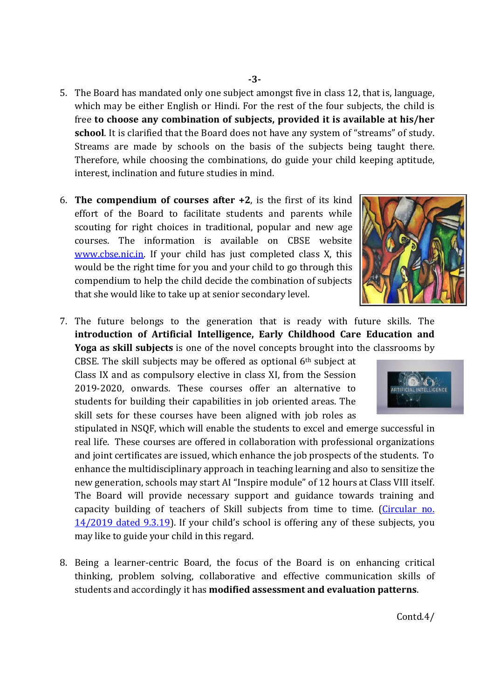- 5. The Board has mandated only one subject amongst five in class 12, that is, language, which may be either English or Hindi. For the rest of the four subjects, the child is free **to choose any combination of subjects, provided it is available at his/her school**. It is clarified that the Board does not have any system of "streams" of study. Streams are made by schools on the basis of the subjects being taught there. Therefore, while choosing the combinations, do guide your child keeping aptitude, interest, inclination and future studies in mind.
- 6. **The compendium of courses after +2**, is the first of its kind effort of the Board to facilitate students and parents while scouting for right choices in traditional, popular and new age courses. The information is available on CBSE website [www.cbse.nic.in](http://www.cbse.nic.in/). If your child has just completed class X, this would be the right time for you and your child to go through this compendium to help the child decide the combination of subjects that she would like to take up at senior secondary level.



7. The future belongs to the generation that is ready with future skills. The **introduction of Artificial Intelligence, Early Childhood Care Education and Yoga as skill subjects** is one of the novel concepts brought into the classrooms by

CBSE. The skill subjects may be offered as optional  $6<sup>th</sup>$  subject at Class IX and as compulsory elective in class XI, from the Session 2019-2020, onwards. These courses offer an alternative to students for building their capabilities in job oriented areas. The skill sets for these courses have been aligned with job roles as

stipulated in NSQF, which will enable the students to excel and emerge successful in real life. These courses are offered in collaboration with professional organizations and joint certificates are issued, which enhance the job prospects of the students. To enhance the multidisciplinary approach in teaching learning and also to sensitize the new generation, schools may start AI "Inspire module" of 12 hours at Class VIII itself. The Board will provide necessary support and guidance towards training and capacity buildi[ng of teachers of Skill subjects from time to time. \(](http://cbseacademic.nic.in/web_material/Circulars/2019/14_Circular_2019.pdf)Circular no. 14/2019 dated 9.3.19). If your child's school is offering any of these subjects, you may like to guide your child in this regard.

8. Being a learner-centric Board, the focus of the Board is on enhancing critical thinking, problem solving, collaborative and effective communication skills of students and accordingly it has **modified assessment and evaluation patterns**.



Contd.4/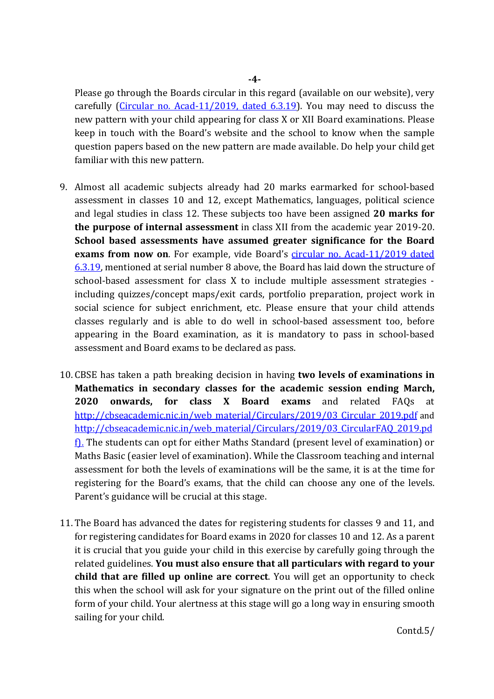Please go through the Boards circular in this regard (available on our website), very carefully [\(Circular no. Acad-11/2019, dated 6.3.19\)](http://cbseacademic.nic.in/web_material/Circulars/2019/11_Circular_2019.pdf). You may need to discuss the new pattern with your child appearing for class X or XII Board examinations. Please keep in touch with the Board's website and the school to know when the sample question papers based on the new pattern are made available. Do help your child get familiar with this new pattern.

- 9. Almost all academic subjects already had 20 marks earmarked for school-based assessment in classes 10 and 12, except Mathematics, languages, political science and legal studies in class 12. These subjects too have been assigned **20 marks for the purpose of internal assessment** in class XII from the academic year 2019-20. **School based assessments have assumed greater significance for the Board**  exams from now on. For example, vide Board's circular no. Acad-11/2019 dated 6.3.19, mentioned at serial number 8 above, the Board has laid down the structure of school-based assessment for class X to include multiple assessment strategies including quizzes/concept maps/exit cards, portfolio preparation, project work in social science for subject enrichment, etc. Please ensure that your child attends classes regularly and is able to do well in school-based assessment too, before appearing in the Board examination, as it is mandatory to pass in school-based assessment and Board exams to be declared as pass.
- 10. CBSE has taken a path breaking decision in having **two levels of examinations in Mathematics in secondary classes for the academic session ending March, 2020 onwards, for class X Board exams** and related FAQs at [http://cbseacademic.nic.in/web\\_material/Circulars/2019/03\\_Circular\\_2019.pdf](http://cbseacademic.nic.in/web_material/Circulars/2019/03_Circular_2019.pdf) and http://cbseacademic.nic.in/web\_material/Circulars/2019/03\_CircularFAQ\_2019.pd f). The students can opt for either Maths Standard (present level of examination) or Maths Basic (easier level of examination). While the Classroom teaching and internal assessment for both the levels of examinations will be the same, it is at the time for registering for the Board's exams, that the child can choose any one of the levels. Parent's guidance will be crucial at this stage.
- 11. The Board has advanced the dates for registering students for classes 9 and 11, and for registering candidates for Board exams in 2020 for classes 10 and 12. As a parent it is crucial that you guide your child in this exercise by carefully going through the related guidelines. **You must also ensure that all particulars with regard to your child that are filled up online are correct**. You will get an opportunity to check this when the school will ask for your signature on the print out of the filled online form of your child. Your alertness at this stage will go a long way in ensuring smooth sailing for your child.

Contd.5/